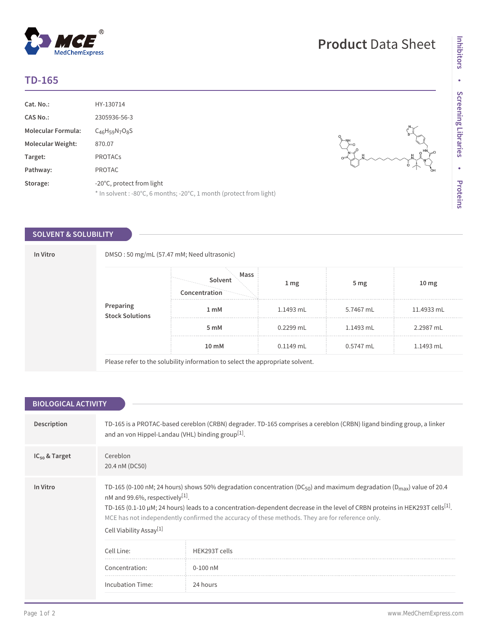## **TD-165**

| Cat. No.:                 | HY-130714                                                                                        |
|---------------------------|--------------------------------------------------------------------------------------------------|
| <b>CAS No.:</b>           | 2305936-56-3                                                                                     |
| <b>Molecular Formula:</b> | $C_{46}H_{59}N_7O_8S$                                                                            |
| <b>Molecular Weight:</b>  | 870.07                                                                                           |
| Target:                   | <b>PROTACS</b>                                                                                   |
| Pathway:                  | <b>PROTAC</b>                                                                                    |
| Storage:                  | -20°C, protect from light<br>* In solvent : -80°C, 6 months; -20°C, 1 month (protect from light) |

## **SOLVENT & SOLUBILITY**

 $^{\circledR}$ 

MedChemExpress

| In Vitro |                              | DMSO: 50 mg/mL (57.47 mM; Need ultrasonic)                                    |                 |                 |                  |  |  |
|----------|------------------------------|-------------------------------------------------------------------------------|-----------------|-----------------|------------------|--|--|
|          |                              | Mass<br>Solvent<br>Concentration                                              | 1 <sub>mg</sub> | 5 <sub>mg</sub> | 10 <sub>mg</sub> |  |  |
|          | Preparing<br>Stock Solutions | 1 <sub>m</sub> M                                                              | 1.1493 mL       | 5.7467 mL       | 11.4933 mL       |  |  |
|          |                              | 5 mM                                                                          | $0.2299$ mL     | 1.1493 mL       | 2.2987 mL        |  |  |
|          |                              | 10 mM                                                                         | $0.1149$ mL     | 0.5747 mL       | 1.1493 mL        |  |  |
|          |                              | Please refer to the solubility information to select the appropriate solvent. |                 |                 |                  |  |  |

| <b>BIOLOGICAL ACTIVITY</b> |                                                                                                                                                                                       |                                                                                                                                                                                                                                                                                                                                                                                                   |  |  |
|----------------------------|---------------------------------------------------------------------------------------------------------------------------------------------------------------------------------------|---------------------------------------------------------------------------------------------------------------------------------------------------------------------------------------------------------------------------------------------------------------------------------------------------------------------------------------------------------------------------------------------------|--|--|
|                            |                                                                                                                                                                                       |                                                                                                                                                                                                                                                                                                                                                                                                   |  |  |
| Description                | TD-165 is a PROTAC-based cereblon (CRBN) degrader. TD-165 comprises a cereblon (CRBN) ligand binding group, a linker<br>and an von Hippel-Landau (VHL) binding group <sup>[1]</sup> . |                                                                                                                                                                                                                                                                                                                                                                                                   |  |  |
| $IC_{50}$ & Target         | Cereblon<br>20.4 nM (DC50)                                                                                                                                                            |                                                                                                                                                                                                                                                                                                                                                                                                   |  |  |
|                            |                                                                                                                                                                                       |                                                                                                                                                                                                                                                                                                                                                                                                   |  |  |
| In Vitro                   | nM and 99.6%, respectively <sup>[1]</sup> .<br>Cell Viability Assay <sup>[1]</sup>                                                                                                    | TD-165 (0-100 nM; 24 hours) shows 50% degradation concentration (DC <sub>50</sub> ) and maximum degradation (D <sub>max</sub> ) value of 20.4<br>TD-165 (0.1-10 $\mu$ M; 24 hours) leads to a concentration-dependent decrease in the level of CRBN proteins in HEK293T cells <sup>[1]</sup> .<br>MCE has not independently confirmed the accuracy of these methods. They are for reference only. |  |  |
|                            | Cell Line:                                                                                                                                                                            | HFK293T cells                                                                                                                                                                                                                                                                                                                                                                                     |  |  |
|                            | Concentration:                                                                                                                                                                        | $0-100$ nM                                                                                                                                                                                                                                                                                                                                                                                        |  |  |
|                            | Incubation Time:                                                                                                                                                                      | 24 hours                                                                                                                                                                                                                                                                                                                                                                                          |  |  |